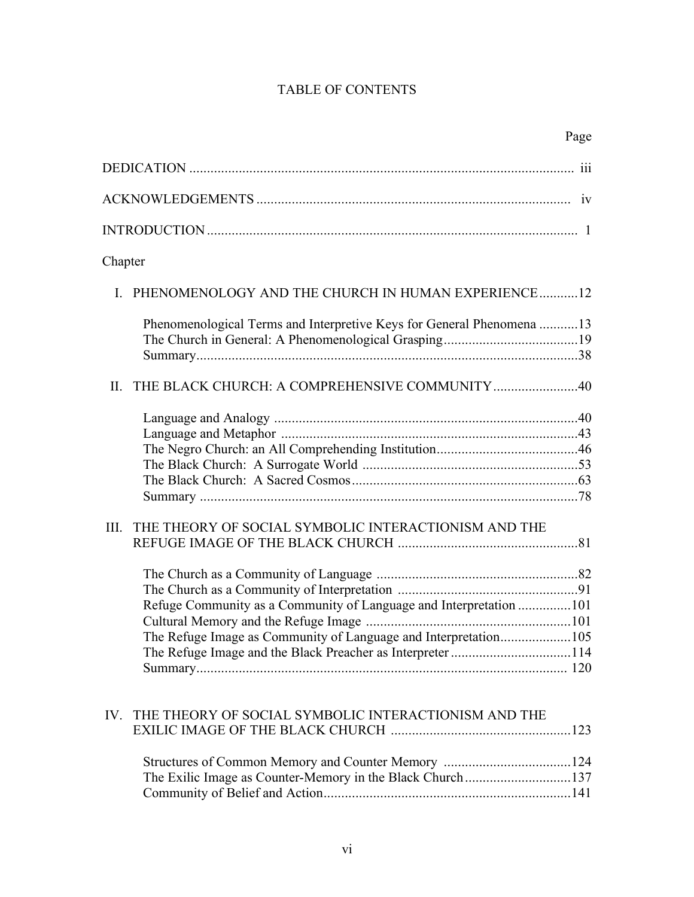## TABLE OF CONTENTS

|                                                                       | Page |
|-----------------------------------------------------------------------|------|
|                                                                       |      |
|                                                                       |      |
|                                                                       |      |
| Chapter                                                               |      |
| I. PHENOMENOLOGY AND THE CHURCH IN HUMAN EXPERIENCE12                 |      |
| Phenomenological Terms and Interpretive Keys for General Phenomena 13 |      |
|                                                                       |      |
| II. THE BLACK CHURCH: A COMPREHENSIVE COMMUNITY 40                    |      |
|                                                                       |      |
|                                                                       |      |
|                                                                       |      |
|                                                                       |      |
|                                                                       |      |
|                                                                       |      |
| THE THEORY OF SOCIAL SYMBOLIC INTERACTIONISM AND THE<br>III.          |      |
|                                                                       |      |
|                                                                       |      |
|                                                                       |      |
| Refuge Community as a Community of Language and Interpretation 101    |      |
|                                                                       |      |
| The Refuge Image as Community of Language and Interpretation105       |      |
| The Refuge Image and the Black Preacher as Interpreter 114            |      |
|                                                                       |      |
| THE THEORY OF SOCIAL SYMBOLIC INTERACTIONISM AND THE<br>IV.           |      |
|                                                                       |      |
|                                                                       |      |
| The Exilic Image as Counter-Memory in the Black Church137             |      |
|                                                                       |      |